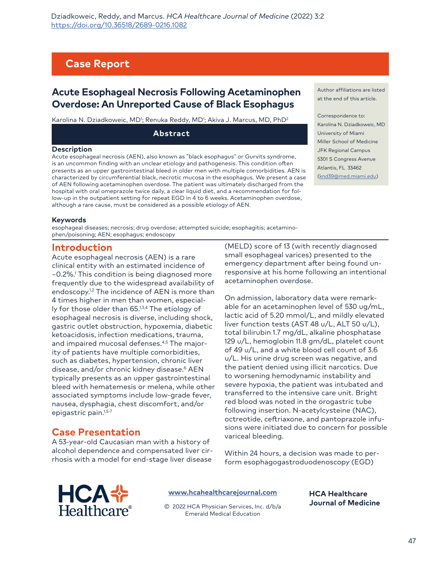# **Case Report**

## **Acute Esophageal Necrosis Following Acetaminophen Overdose: An Unreported Cause of Black Esophagus**

Karolina N. Dziadkoweic, MD<sup>ı</sup>; Renuka Reddy, MD<sup>ı</sup>; Akiva J. Marcus, MD, PhD<sup>2</sup>

**Abstract**

#### **Description**

Acute esophageal necrosis (AEN), also known as "black esophagus" or Gurvits syndrome, is an uncommon finding with an unclear etiology and pathogenesis. This condition often presents as an upper gastrointestinal bleed in older men with multiple comorbidities. AEN is characterized by circumferential black, necrotic mucosa in the esophagus. We present a case of AEN following acetaminophen overdose. The patient was ultimately discharged from the hospital with oral omeprazole twice daily, a clear liquid diet, and a recommendation for follow-up in the outpatient setting for repeat EGD in 4 to 6 weeks. Acetaminophen overdose, although a rare cause, must be considered as a possible etiology of AEN.

Author affiliations are listed at the end of this article.

Correspondence to: Karolina N. Dziadkoweic, MD University of Miami Miller School of Medicine JFK Regional Campus 5301 S Congress Avenue [Atlantis, FL 33462](mailto:knd39%40med.miami.edu?subject=) (knd39@med.miami.edu)

#### **Keywords**

esophageal diseases; necrosis; drug overdose; attempted suicide; esophagitis; acetaminophen/poisoning; AEN; esophagus; endoscopy

#### **Introduction**

Acute esophageal necrosis (AEN) is a rare clinical entity with an estimated incidence of ~0.2%.1 This condition is being diagnosed more frequently due to the widespread availability of endoscopy.1,2 The incidence of AEN is more than 4 times higher in men than women, especially for those older than 65.<sup>1,3,4</sup> The etiology of esophageal necrosis is diverse, including shock, gastric outlet obstruction, hypoxemia, diabetic ketoacidosis, infection medications, trauma, and impaired mucosal defenses.4,5 The majority of patients have multiple comorbidities, such as diabetes, hypertension, chronic liver disease, and/or chronic kidney disease.<sup>6</sup> AEN typically presents as an upper gastrointestinal bleed with hematemesis or melena, while other associated symptoms include low-grade fever, nausea, dysphagia, chest discomfort, and/or epigastric pain.1,5-7

### **Case Presentation**

A 53-year-old Caucasian man with a history of alcohol dependence and compensated liver cirrhosis with a model for end-stage liver disease

(MELD) score of 13 (with recently diagnosed small esophageal varices) presented to the emergency department after being found unresponsive at his home following an intentional acetaminophen overdose.

On admission, laboratory data were remarkable for an acetaminophen level of 530 ug/mL, lactic acid of 5.20 mmol/L, and mildly elevated liver function tests (AST 48 u/L, ALT 50 u/L), total bilirubin 1.7 mg/dL, alkaline phosphatase 129 u/L, hemoglobin 11.8 gm/dL, platelet count of 49 u/L, and a white blood cell count of 3.6 u/L. His urine drug screen was negative, and the patient denied using illicit narcotics. Due to worsening hemodynamic instability and severe hypoxia, the patient was intubated and transferred to the intensive care unit. Bright red blood was noted in the orogastric tube following insertion. N-acetylcysteine (NAC), octreotide, ceftriaxone, and pantoprazole infusions were initiated due to concern for possible variceal bleeding.

Within 24 hours, a decision was made to perform esophagogastroduodenoscopy (EGD)



**[www.hcahealthcarejournal.com](http://www.hcahealthcarejournal.com)**

© 2022 HCA Physician Services, Inc. d/b/a Emerald Medical Education

**HCA Healthcare Journal of Medicine**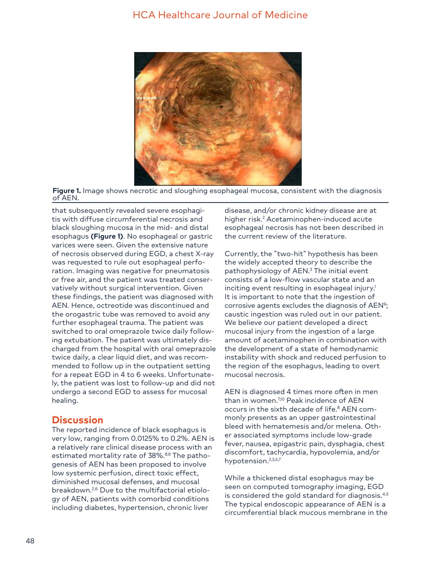### HCA Healthcare Journal of Medicine



**Figure 1.** Image shows necrotic and sloughing esophageal mucosa, consistent with the diagnosis of AEN.

that subsequently revealed severe esophagitis with diffuse circumferential necrosis and black sloughing mucosa in the mid- and distal esophagus **(Figure 1)**. No esophageal or gastric varices were seen. Given the extensive nature of necrosis observed during EGD, a chest X-ray was requested to rule out esophageal perforation. Imaging was negative for pneumatosis or free air, and the patient was treated conservatively without surgical intervention. Given these findings, the patient was diagnosed with AEN. Hence, octreotide was discontinued and the orogastric tube was removed to avoid any further esophageal trauma. The patient was switched to oral omeprazole twice daily following extubation. The patient was ultimately discharged from the hospital with oral omeprazole twice daily, a clear liquid diet, and was recommended to follow up in the outpatient setting for a repeat EGD in 4 to 6 weeks. Unfortunately, the patient was lost to follow-up and did not undergo a second EGD to assess for mucosal healing.

### **Discussion**

The reported incidence of black esophagus is very low, ranging from 0.0125% to 0.2%. AEN is a relatively rare clinical disease process with an estimated mortality rate of 38%.<sup>8,9</sup> The pathogenesis of AEN has been proposed to involve low systemic perfusion, direct toxic effect, diminished mucosal defenses, and mucosal breakdown.2,6 Due to the multifactorial etiology of AEN, patients with comorbid conditions including diabetes, hypertension, chronic liver

disease, and/or chronic kidney disease are at higher risk.<sup>2</sup> Acetaminophen-induced acute esophageal necrosis has not been described in the current review of the literature.

Currently, the "two-hit" hypothesis has been the widely accepted theory to describe the pathophysiology of AEN.3 The initial event consists of a low-flow vascular state and an inciting event resulting in esophageal injury.<sup>1</sup> It is important to note that the ingestion of corrosive agents excludes the diagnosis of AEN<sup>9</sup>; caustic ingestion was ruled out in our patient. We believe our patient developed a direct mucosal injury from the ingestion of a large amount of acetaminophen in combination with the development of a state of hemodynamic instability with shock and reduced perfusion to the region of the esophagus, leading to overt mucosal necrosis.

AEN is diagnosed 4 times more often in men than in women.7,10 Peak incidence of AEN occurs in the sixth decade of life.<sup>8</sup> AEN commonly presents as an upper gastrointestinal bleed with hematemesis and/or melena. Other associated symptoms include low-grade fever, nausea, epigastric pain, dysphagia, chest discomfort, tachycardia, hypovolemia, and/or hypotension.2,3,5,7

While a thickened distal esophagus may be seen on computed tomography imaging, EGD is considered the gold standard for diagnosis.<sup>4,5</sup> The typical endoscopic appearance of AEN is a circumferential black mucous membrane in the